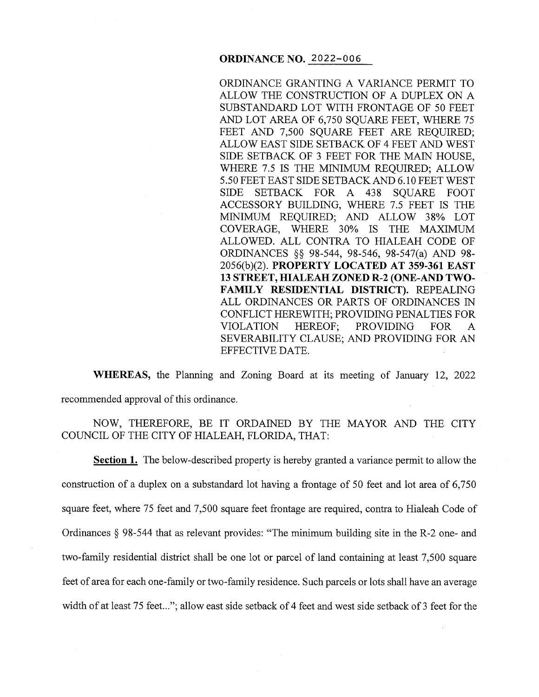### **ORDINANCE NO.** 2022-006

ORDINANCE GRANTING A VARIANCE PERMIT TO ALLOW THE CONSTRUCTION OF A DUPLEX ON A SUBSTANDARD LOT WITH FRONTAGE OF 50 FEET AND LOT AREA OF 6,750 SQUARE FEET, WHERE 75 FEET AND 7,500 SOUARE FEET ARE REOUIRED: ALLOW EAST SIDE SETBACK OF 4 FEET AND WEST SIDE SETBACK OF 3 FEET FOR THE MAIN HOUSE, WHERE 7.5 IS THE MINIMUM REQUIRED; ALLOW 5 .50 FEET EAST SIDE SETBACK AND 6.10 FEET WEST SIDE SETBACK FOR A 438 SQUARE FOOT ACCESSORY BUILDING, WHERE 7.5 FEET IS THE MINIMUM REQUIRED; AND ALLOW 38% LOT COVERAGE, WHERE 30% IS THE MAXIMUM ALLOWED. ALL CONTRA TO HIALEAH CODE OF ORDINANCES §§ 98-544, 98-546, 98-547(a) AND 98- 2056(b)(2). **PROPERTY LOCATED AT 359-361 EAST 13 STREET, HIALEAH ZONED R-2 (ONE-AND TWO-**FAMILY RESIDENTIAL DISTRICT). REPEALING ALL ORDINANCES OR PARTS OF ORDINANCES IN CONFLICT HEREWITH; PROVIDING PENAL TIES FOR VIOLATION HEREOF; PROVIDING FOR A SEVERABILITY CLAUSE; AND PROVIDING FOR AN EFFECTIVE DATE.

**WHEREAS,** the Planning and Zoning Board at its meeting of January 12, 2022 recommended approval of this ordinance.

NOW, THEREFORE, BE IT ORDAINED BY THE MAYOR AND THE CITY COUNCIL OF THE CITY OF HIALEAH, FLORIDA, THAT:

**Section 1.** The below-described property is hereby granted a variance permit to allow the construction of a duplex on a substandard lot having a frontage of 50 feet and lot area of 6,750 square feet, where 75 feet and 7,500 square feet frontage are required, contra to Hialeah Code of Ordinances § 98-544 that as relevant provides: "The minimum building site in the R-2 one- and two-family residential district shall be one lot or parcel of land containing at least 7,500 square feet of area for each one-family or two-family residence. Such parcels or lots shall have an average width of at least 75 feet..."; allow east side setback of 4 feet and west side setback of 3 feet for the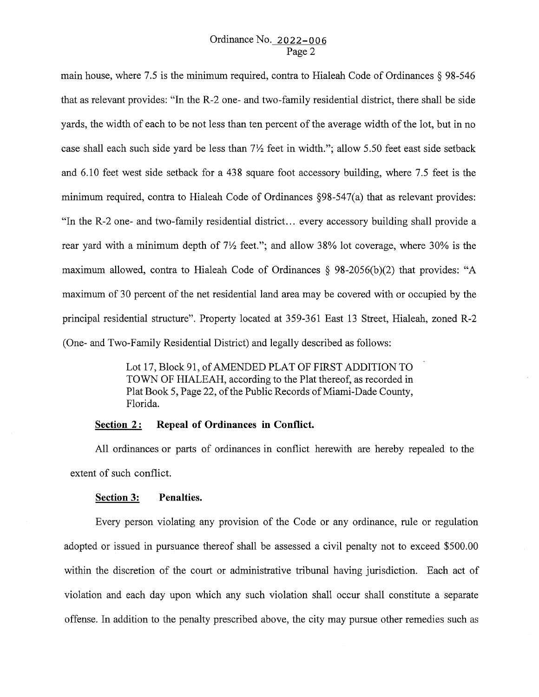main house, where 7.5 is the minimum required, contra to Hialeah Code of Ordinances§ 98-546 that as relevant provides: "In the R-2 one- and two-family residential district, there shall be side yards, the width of each to be not less than ten percent of the average width of the lot, but in no case shall each such side yard be less than  $7\frac{1}{2}$  feet in width."; allow 5.50 feet east side setback and 6.10 feet west side setback for a 438 square foot accessory building, where 7.5 feet is the minimum required, contra to Hialeah Code of Ordinances §98-547(a) that as relevant provides: "In the R-2 one- and two-family residential district ... every accessory building shall provide a rear yard with a minimum depth of  $7\frac{1}{2}$  feet."; and allow 38% lot coverage, where 30% is the maximum allowed, contra to Hialeah Code of Ordinances  $\S$  98-2056(b)(2) that provides: "A maximum of 30 percent of the net residential land area may be covered with or occupied by the principal residential structure". Property located at 359-361 East 13 Street, Hialeah, zoned R-2 (One- and Two-Family Residential District) and legally described as follows:

> Lot 17, Block 91, of AMENDED PLAT OF FIRST ADDITION TO TOWN OF HIALEAH, according to the Plat thereof, as recorded in Plat Book 5, Page 22, of the Public Records of Miami-Dade County, Florida.

# **Section 2:** Repeal of Ordinances in Conflict.

All ordinances or parts of ordinances in conflict herewith are hereby repealed to the extent of such conflict.

#### **Section 3: Penalties.**

Every person violating any provision of the Code or any ordinance, rule or regulation adopted or issued in pursuance thereof shall be assessed a civil penalty not to exceed \$500.00 within the discretion of the court or administrative tribunal having jurisdiction. Each act of violation and each day upon which any such violation shall occur shall constitute a separate offense. In addition to the penalty prescribed above, the city may pursue other remedies such as